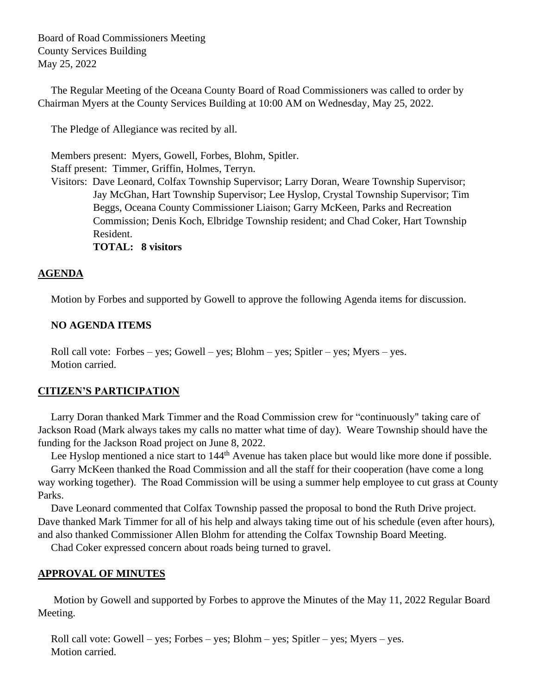Board of Road Commissioners Meeting County Services Building May 25, 2022

 The Regular Meeting of the Oceana County Board of Road Commissioners was called to order by Chairman Myers at the County Services Building at 10:00 AM on Wednesday, May 25, 2022.

The Pledge of Allegiance was recited by all.

 Members present: Myers, Gowell, Forbes, Blohm, Spitler. Staff present: Timmer, Griffin, Holmes, Terryn.

 Visitors: Dave Leonard, Colfax Township Supervisor; Larry Doran, Weare Township Supervisor; Jay McGhan, Hart Township Supervisor; Lee Hyslop, Crystal Township Supervisor; Tim Beggs, Oceana County Commissioner Liaison; Garry McKeen, Parks and Recreation Commission; Denis Koch, Elbridge Township resident; and Chad Coker, Hart Township Resident.

**TOTAL: 8 visitors**

# **AGENDA**

Motion by Forbes and supported by Gowell to approve the following Agenda items for discussion.

# **NO AGENDA ITEMS**

 Roll call vote: Forbes – yes; Gowell – yes; Blohm – yes; Spitler – yes; Myers – yes. Motion carried.

#### **CITIZEN'S PARTICIPATION**

 Larry Doran thanked Mark Timmer and the Road Commission crew for "continuously" taking care of Jackson Road (Mark always takes my calls no matter what time of day). Weare Township should have the funding for the Jackson Road project on June 8, 2022.

Lee Hyslop mentioned a nice start to 144<sup>th</sup> Avenue has taken place but would like more done if possible. Garry McKeen thanked the Road Commission and all the staff for their cooperation (have come a long way working together). The Road Commission will be using a summer help employee to cut grass at County Parks.

 Dave Leonard commented that Colfax Township passed the proposal to bond the Ruth Drive project. Dave thanked Mark Timmer for all of his help and always taking time out of his schedule (even after hours), and also thanked Commissioner Allen Blohm for attending the Colfax Township Board Meeting.

Chad Coker expressed concern about roads being turned to gravel.

# **APPROVAL OF MINUTES**

Motion by Gowell and supported by Forbes to approve the Minutes of the May 11, 2022 Regular Board Meeting.

 Roll call vote: Gowell – yes; Forbes – yes; Blohm – yes; Spitler – yes; Myers – yes. Motion carried.